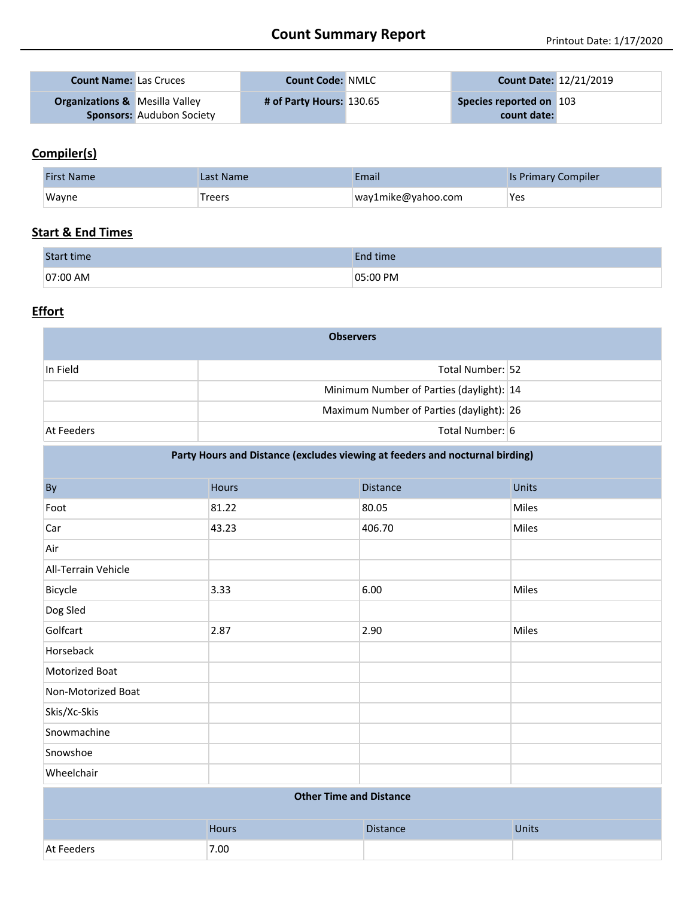| <b>Count Name: Las Cruces</b>             |                                  | <b>Count Code: NMLC</b>  | <b>Count Date: 12/21/2019</b> |  |
|-------------------------------------------|----------------------------------|--------------------------|-------------------------------|--|
| <b>Organizations &amp; Mesilla Valley</b> |                                  | # of Party Hours: 130.65 | Species reported on 103       |  |
|                                           | <b>Sponsors: Audubon Society</b> |                          | count date:                   |  |

### **Compiler(s)**

| <b>First Name</b> | Last Name | Email              | <b>Is Primary Compiler</b> |
|-------------------|-----------|--------------------|----------------------------|
| Wayne             | Treers    | way1mike@yahoo.com | Yes                        |

#### **Start & End Times**

| Start time | End time |
|------------|----------|
| 07:00 AM   | 05:00 PM |

#### **Effort**

| <b>Observers</b> |                                          |  |  |  |
|------------------|------------------------------------------|--|--|--|
| In Field         | Total Number: 52                         |  |  |  |
|                  | Minimum Number of Parties (daylight): 14 |  |  |  |
|                  | Maximum Number of Parties (daylight): 26 |  |  |  |
| At Feeders       | Total Number: 6                          |  |  |  |

| Party Hours and Distance (excludes viewing at feeders and nocturnal birding) |              |                 |              |  |  |
|------------------------------------------------------------------------------|--------------|-----------------|--------------|--|--|
| By                                                                           | <b>Hours</b> | <b>Distance</b> | <b>Units</b> |  |  |
| Foot                                                                         | 81.22        | 80.05           | Miles        |  |  |
| Car                                                                          | 43.23        | 406.70          | Miles        |  |  |
| Air                                                                          |              |                 |              |  |  |
| All-Terrain Vehicle                                                          |              |                 |              |  |  |
| Bicycle                                                                      | 3.33         | 6.00            | Miles        |  |  |
| Dog Sled                                                                     |              |                 |              |  |  |
| Golfcart                                                                     | 2.87         | 2.90            | Miles        |  |  |
| Horseback                                                                    |              |                 |              |  |  |
| <b>Motorized Boat</b>                                                        |              |                 |              |  |  |
| Non-Motorized Boat                                                           |              |                 |              |  |  |
| Skis/Xc-Skis                                                                 |              |                 |              |  |  |
| Snowmachine                                                                  |              |                 |              |  |  |
| Snowshoe                                                                     |              |                 |              |  |  |
| Wheelchair                                                                   |              |                 |              |  |  |
| <b>Other Time and Distance</b>                                               |              |                 |              |  |  |
|                                                                              | Hours        | <b>Distance</b> | <b>Units</b> |  |  |
| At Feeders                                                                   | 7.00         |                 |              |  |  |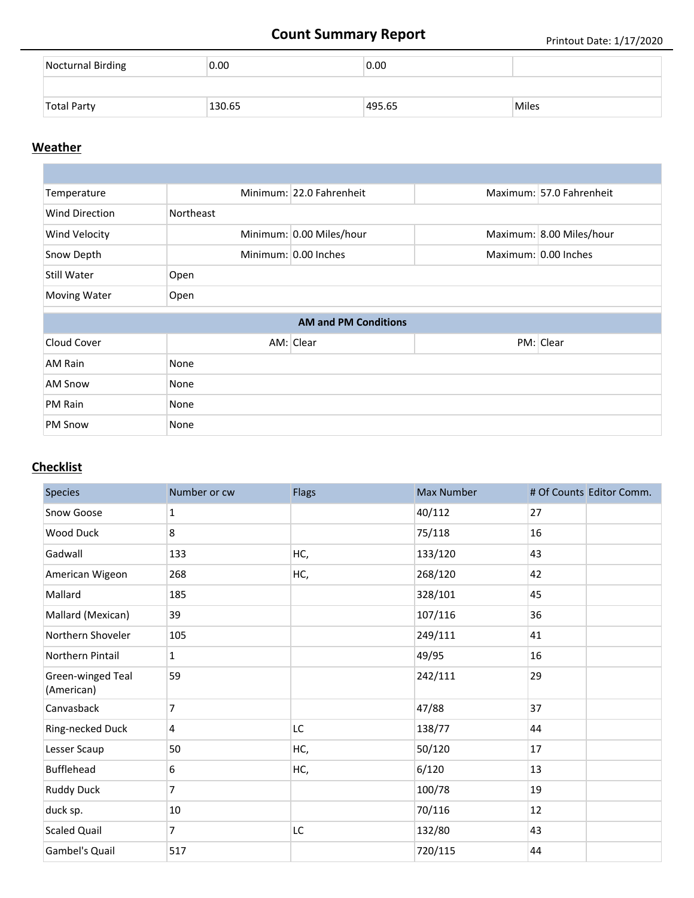# **Count Summary Report** Printout Date: 1/17/2020

| Nocturnal Birding  | 0.00   | 0.00   |              |
|--------------------|--------|--------|--------------|
|                    |        |        |              |
| <b>Total Party</b> | 130.65 | 495.65 | <b>Miles</b> |

#### **Weather**

| Temperature           |           | Minimum: 22.0 Fahrenheit    |  | Maximum: 57.0 Fahrenheit |  |
|-----------------------|-----------|-----------------------------|--|--------------------------|--|
| <b>Wind Direction</b> | Northeast |                             |  |                          |  |
| Wind Velocity         |           | Minimum: 0.00 Miles/hour    |  | Maximum: 8.00 Miles/hour |  |
| Snow Depth            |           | Minimum: 0.00 Inches        |  | Maximum: 0.00 Inches     |  |
| Still Water           | Open      |                             |  |                          |  |
| <b>Moving Water</b>   | Open      |                             |  |                          |  |
|                       |           | <b>AM and PM Conditions</b> |  |                          |  |
|                       |           |                             |  |                          |  |
| Cloud Cover           |           | AM: Clear                   |  | PM: Clear                |  |
| AM Rain               | None      |                             |  |                          |  |
| <b>AM Snow</b>        | None      |                             |  |                          |  |
| PM Rain               | None      |                             |  |                          |  |
|                       |           |                             |  |                          |  |

### **Checklist**

| <b>Species</b>                  | Number or cw   | <b>Flags</b> | <b>Max Number</b> | # Of Counts Editor Comm. |
|---------------------------------|----------------|--------------|-------------------|--------------------------|
| Snow Goose                      | $\mathbf{1}$   |              | 40/112            | 27                       |
| <b>Wood Duck</b>                | 8              |              | 75/118            | 16                       |
| Gadwall                         | 133            | HC,          | 133/120           | 43                       |
| American Wigeon                 | 268            | HC,          | 268/120           | 42                       |
| Mallard                         | 185            |              | 328/101           | 45                       |
| Mallard (Mexican)               | 39             |              | 107/116           | 36                       |
| Northern Shoveler               | 105            |              | 249/111           | 41                       |
| Northern Pintail                | $\mathbf{1}$   |              | 49/95             | 16                       |
| Green-winged Teal<br>(American) | 59             |              | 242/111           | 29                       |
| Canvasback                      | $\overline{7}$ |              | 47/88             | 37                       |
| Ring-necked Duck                | 4              | LC.          | 138/77            | 44                       |
| Lesser Scaup                    | 50             | HC,          | 50/120            | 17                       |
| <b>Bufflehead</b>               | 6              | HC,          | 6/120             | 13                       |
| <b>Ruddy Duck</b>               | $\overline{7}$ |              | 100/78            | 19                       |
| duck sp.                        | 10             |              | 70/116            | 12                       |
| <b>Scaled Quail</b>             | $\overline{7}$ | <b>LC</b>    | 132/80            | 43                       |
| Gambel's Quail                  | 517            |              | 720/115           | 44                       |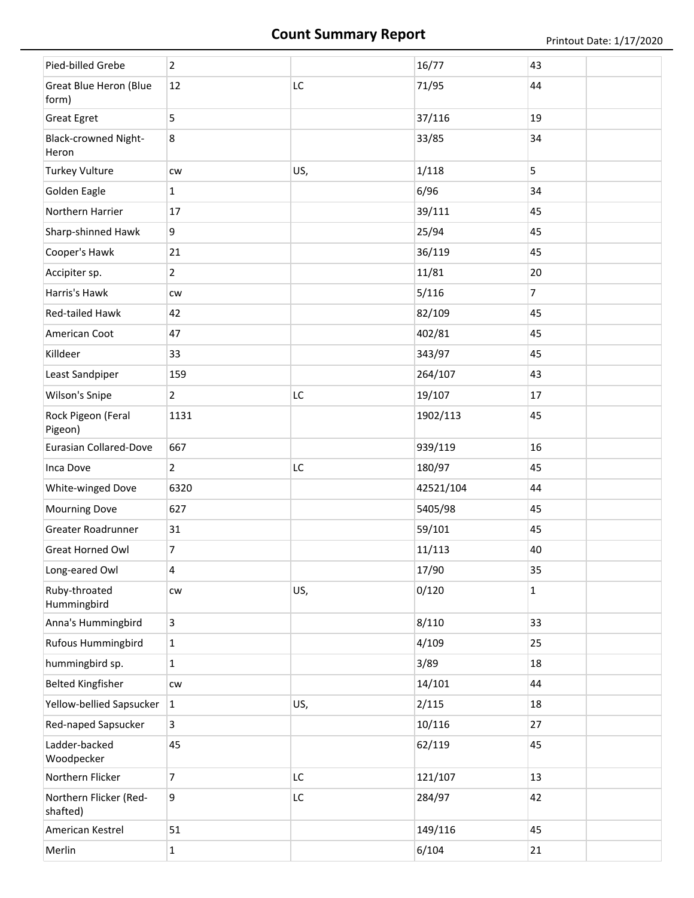# **Count Summary Report** Printout Date: 1/17/2020

| Pied-billed Grebe                      | $\overline{2}$   |     | 16/77     | 43             |
|----------------------------------------|------------------|-----|-----------|----------------|
| <b>Great Blue Heron (Blue</b><br>form) | 12               | LC  | 71/95     | 44             |
| <b>Great Egret</b>                     | 5                |     | 37/116    | 19             |
| <b>Black-crowned Night-</b><br>Heron   | 8                |     | 33/85     | 34             |
| <b>Turkey Vulture</b>                  | <b>CW</b>        | US, | 1/118     | 5              |
| Golden Eagle                           | $\mathbf{1}$     |     | 6/96      | 34             |
| Northern Harrier                       | 17               |     | 39/111    | 45             |
| Sharp-shinned Hawk                     | 9                |     | 25/94     | 45             |
| Cooper's Hawk                          | 21               |     | 36/119    | 45             |
| Accipiter sp.                          | $\overline{2}$   |     | 11/81     | 20             |
| Harris's Hawk                          | CW               |     | 5/116     | $\overline{7}$ |
| Red-tailed Hawk                        | 42               |     | 82/109    | 45             |
| American Coot                          | 47               |     | 402/81    | 45             |
| Killdeer                               | 33               |     | 343/97    | 45             |
| Least Sandpiper                        | 159              |     | 264/107   | 43             |
| Wilson's Snipe                         | $\overline{2}$   | LC  | 19/107    | 17             |
| Rock Pigeon (Feral<br>Pigeon)          | 1131             |     | 1902/113  | 45             |
| <b>Eurasian Collared-Dove</b>          | 667              |     | 939/119   | 16             |
|                                        |                  |     |           |                |
| Inca Dove                              | $\overline{2}$   | LC  | 180/97    | 45             |
| White-winged Dove                      | 6320             |     | 42521/104 | 44             |
| <b>Mourning Dove</b>                   | 627              |     | 5405/98   | 45             |
| Greater Roadrunner                     | 31               |     | 59/101    | 45             |
| Great Horned Owl                       | $\overline{7}$   |     | 11/113    | 40             |
| Long-eared Owl                         | 4                |     | 17/90     | 35             |
| Ruby-throated<br>Hummingbird           | ${\sf\small CW}$ | US, | 0/120     | $\mathbf{1}$   |
| Anna's Hummingbird                     | $\overline{3}$   |     | 8/110     | 33             |
| Rufous Hummingbird                     | $\mathbf{1}$     |     | 4/109     | 25             |
| hummingbird sp.                        | $\mathbf{1}$     |     | 3/89      | 18             |
| <b>Belted Kingfisher</b>               | ${\sf\small CW}$ |     | 14/101    | 44             |
| Yellow-bellied Sapsucker               | $\mathbf{1}$     | US, | 2/115     | 18             |
| Red-naped Sapsucker                    | $\overline{3}$   |     | 10/116    | 27             |
| Ladder-backed<br>Woodpecker            | 45               |     | 62/119    | 45             |
| Northern Flicker                       | $\overline{7}$   | LC  | 121/107   | 13             |
| Northern Flicker (Red-<br>shafted)     | 9                | LC  | 284/97    | 42             |
| American Kestrel                       | 51               |     | 149/116   | 45             |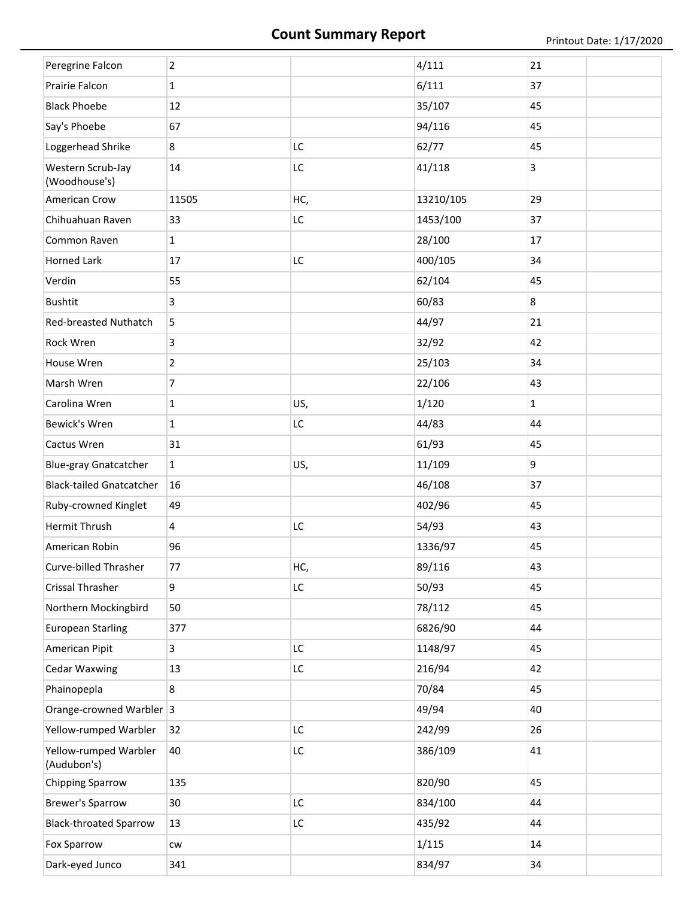| Peregrine Falcon                     | $\overline{2}$ |     | 4/111     | 21           |
|--------------------------------------|----------------|-----|-----------|--------------|
| Prairie Falcon                       | $\mathbf{1}$   |     | 6/111     | 37           |
| <b>Black Phoebe</b>                  | 12             |     | 35/107    | 45           |
| Say's Phoebe                         | 67             |     | 94/116    | 45           |
| Loggerhead Shrike                    | 8              | LC  | 62/77     | 45           |
| Western Scrub-Jay<br>(Woodhouse's)   | 14             | LC  | 41/118    | 3            |
| American Crow                        | 11505          | HC, | 13210/105 | 29           |
| Chihuahuan Raven                     | 33             | LC  | 1453/100  | 37           |
| Common Raven                         | $\mathbf{1}$   |     | 28/100    | 17           |
| <b>Horned Lark</b>                   | 17             | LC  | 400/105   | 34           |
| Verdin                               | 55             |     | 62/104    | 45           |
| <b>Bushtit</b>                       | 3              |     | 60/83     | 8            |
| Red-breasted Nuthatch                | 5              |     | 44/97     | 21           |
| Rock Wren                            | 3              |     | 32/92     | 42           |
| House Wren                           | $\overline{2}$ |     | 25/103    | 34           |
| Marsh Wren                           | $\overline{7}$ |     | 22/106    | 43           |
| Carolina Wren                        | $\mathbf{1}$   | US, | 1/120     | $\mathbf{1}$ |
| Bewick's Wren                        | $\mathbf{1}$   | LC  | 44/83     | 44           |
| Cactus Wren                          | 31             |     | 61/93     | 45           |
| <b>Blue-gray Gnatcatcher</b>         | $\mathbf{1}$   | US, | 11/109    | 9            |
| <b>Black-tailed Gnatcatcher</b>      | 16             |     | 46/108    | 37           |
| Ruby-crowned Kinglet                 | 49             |     | 402/96    | 45           |
| Hermit Thrush                        | $\overline{4}$ | LC  | 54/93     | 43           |
| American Robin                       | 96             |     | 1336/97   | 45           |
| Curve-billed Thrasher                | 77             | HC, | 89/116    | 43           |
| <b>Crissal Thrasher</b>              | 9              | LC  | 50/93     | 45           |
| Northern Mockingbird                 | 50             |     | 78/112    | 45           |
| <b>European Starling</b>             | 377            |     | 6826/90   | 44           |
| American Pipit                       | $\overline{3}$ | LC  | 1148/97   | 45           |
| <b>Cedar Waxwing</b>                 | 13             | LC  | 216/94    | 42           |
| Phainopepla                          | 8              |     | 70/84     | 45           |
| Orange-crowned Warbler 3             |                |     | 49/94     | 40           |
| Yellow-rumped Warbler                | 32             | LC  | 242/99    | 26           |
| Yellow-rumped Warbler<br>(Audubon's) | 40             | LC  | 386/109   | 41           |
| <b>Chipping Sparrow</b>              | 135            |     | 820/90    | 45           |
| <b>Brewer's Sparrow</b>              | 30             | LC  | 834/100   | 44           |
| <b>Black-throated Sparrow</b>        | 13             | LC  | 435/92    | 44           |
| Fox Sparrow                          | CW             |     | 1/115     | 14           |
| Dark-eyed Junco                      | 341            |     | 834/97    | 34           |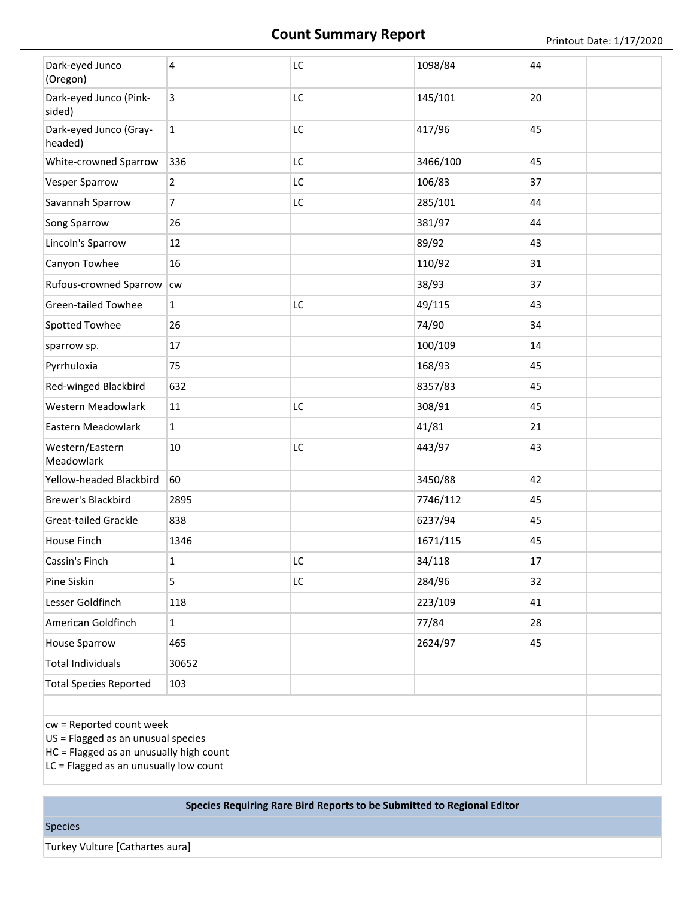## **Count Summary Report** Printout Date: 1/17/2020

| Dark-eyed Junco<br>(Oregon)                                                  | 4              | LC | 1098/84  | 44 |
|------------------------------------------------------------------------------|----------------|----|----------|----|
| Dark-eyed Junco (Pink-<br>sided)                                             | 3              | LC | 145/101  | 20 |
| Dark-eyed Junco (Gray-<br>headed)                                            | $\mathbf{1}$   | LC | 417/96   | 45 |
| White-crowned Sparrow                                                        | 336            | LC | 3466/100 | 45 |
| <b>Vesper Sparrow</b>                                                        | $\overline{2}$ | LC | 106/83   | 37 |
| Savannah Sparrow                                                             | $\overline{7}$ | LC | 285/101  | 44 |
| Song Sparrow                                                                 | 26             |    | 381/97   | 44 |
| Lincoln's Sparrow                                                            | 12             |    | 89/92    | 43 |
| Canyon Towhee                                                                | 16             |    | 110/92   | 31 |
| Rufous-crowned Sparrow                                                       | cw             |    | 38/93    | 37 |
| <b>Green-tailed Towhee</b>                                                   | $\mathbf{1}$   | LC | 49/115   | 43 |
| Spotted Towhee                                                               | 26             |    | 74/90    | 34 |
| sparrow sp.                                                                  | 17             |    | 100/109  | 14 |
| Pyrrhuloxia                                                                  | 75             |    | 168/93   | 45 |
| Red-winged Blackbird                                                         | 632            |    | 8357/83  | 45 |
| Western Meadowlark                                                           | 11             | LC | 308/91   | 45 |
| Eastern Meadowlark                                                           | $\mathbf{1}$   |    | 41/81    | 21 |
| Western/Eastern<br>Meadowlark                                                | 10             | LC | 443/97   | 43 |
| Yellow-headed Blackbird                                                      | 60             |    | 3450/88  | 42 |
| Brewer's Blackbird                                                           | 2895           |    | 7746/112 | 45 |
| <b>Great-tailed Grackle</b>                                                  | 838            |    | 6237/94  | 45 |
| House Finch                                                                  | 1346           |    | 1671/115 | 45 |
| Cassin's Finch                                                               | 1              | LC | 34/118   | 17 |
| Pine Siskin                                                                  | 5              | LC | 284/96   | 32 |
| Lesser Goldfinch                                                             | 118            |    | 223/109  | 41 |
| American Goldfinch                                                           | $\mathbf{1}$   |    | 77/84    | 28 |
| <b>House Sparrow</b>                                                         | 465            |    | 2624/97  | 45 |
| <b>Total Individuals</b>                                                     | 30652          |    |          |    |
| <b>Total Species Reported</b>                                                | 103            |    |          |    |
|                                                                              |                |    |          |    |
| cw = Reported count week<br>$\overline{110}$ – Floggod as an unusual species |                |    |          |    |

US = Flagged as an unusual species

HC = Flagged as an unusually high count

LC = Flagged as an unusually low count

#### **Species Requiring Rare Bird Reports to be Submitted to Regional Editor**

Species

Turkey Vulture [Cathartes aura]